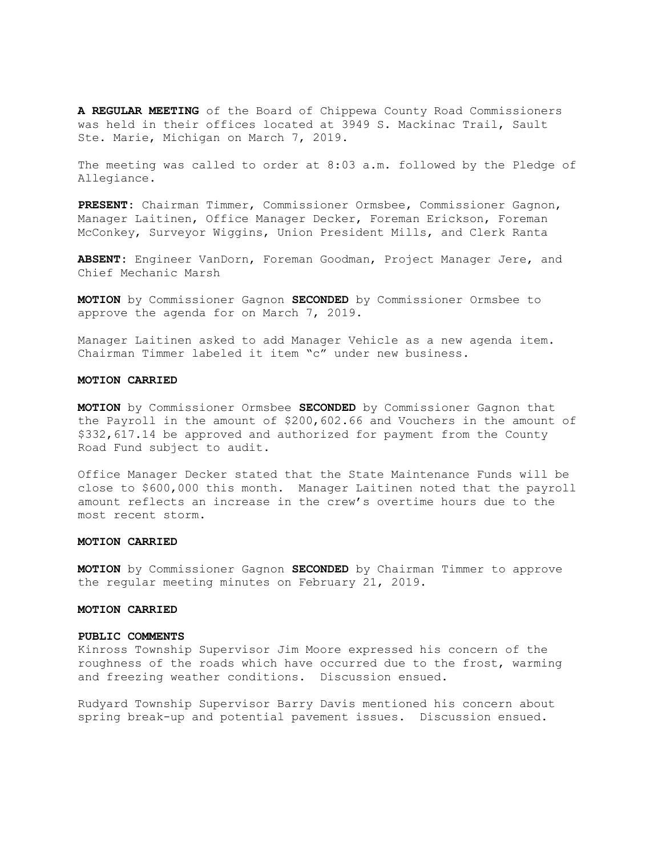A REGULAR MEETING of the Board of Chippewa County Road Commissioners was held in their offices located at 3949 S. Mackinac Trail, Sault Ste. Marie, Michigan on March 7, 2019.

The meeting was called to order at 8:03 a.m. followed by the Pledge of Allegiance.

PRESENT: Chairman Timmer, Commissioner Ormsbee, Commissioner Gagnon, Manager Laitinen, Office Manager Decker, Foreman Erickson, Foreman McConkey, Surveyor Wiggins, Union President Mills, and Clerk Ranta

ABSENT: Engineer VanDorn, Foreman Goodman, Project Manager Jere, and Chief Mechanic Marsh

MOTION by Commissioner Gagnon SECONDED by Commissioner Ormsbee to approve the agenda for on March 7, 2019.

Manager Laitinen asked to add Manager Vehicle as a new agenda item. Chairman Timmer labeled it item "c" under new business.

## MOTION CARRIED

MOTION by Commissioner Ormsbee SECONDED by Commissioner Gagnon that the Payroll in the amount of \$200,602.66 and Vouchers in the amount of \$332,617.14 be approved and authorized for payment from the County Road Fund subject to audit.

Office Manager Decker stated that the State Maintenance Funds will be close to \$600,000 this month. Manager Laitinen noted that the payroll amount reflects an increase in the crew's overtime hours due to the most recent storm.

### MOTION CARRIED

**MOTION** by Commissioner Gagnon **SECONDED** by Chairman Timmer to approve the regular meeting minutes on February 21, 2019.

# MOTION CARRIED

#### PUBLIC COMMENTS

Kinross Township Supervisor Jim Moore expressed his concern of the roughness of the roads which have occurred due to the frost, warming and freezing weather conditions. Discussion ensued.

Rudyard Township Supervisor Barry Davis mentioned his concern about spring break-up and potential pavement issues. Discussion ensued.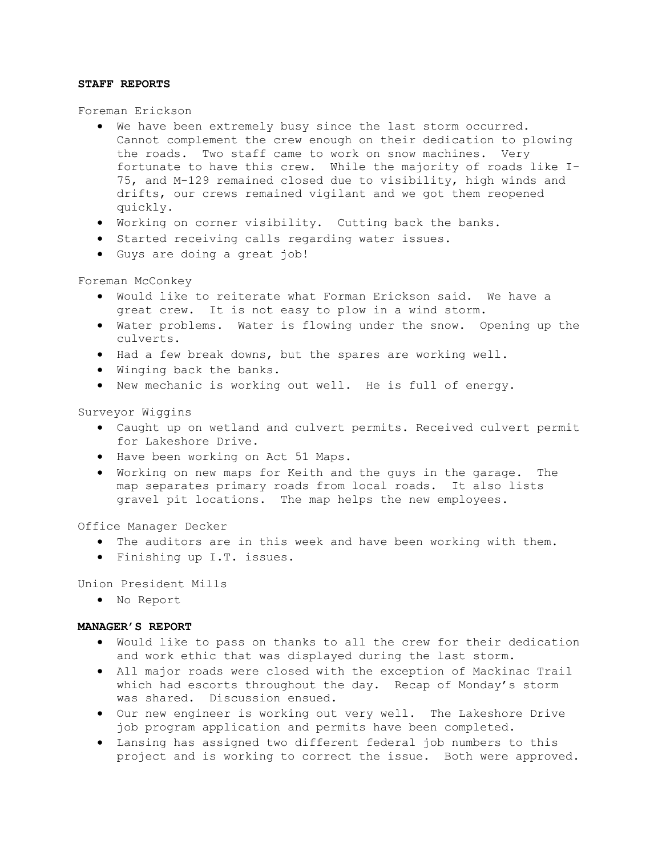## STAFF REPORTS

Foreman Erickson

- We have been extremely busy since the last storm occurred. Cannot complement the crew enough on their dedication to plowing the roads. Two staff came to work on snow machines. Very fortunate to have this crew. While the majority of roads like I-75, and M-129 remained closed due to visibility, high winds and drifts, our crews remained vigilant and we got them reopened quickly.
- Working on corner visibility. Cutting back the banks.
- **•** Started receiving calls regarding water issues.
- Guys are doing a great job!

Foreman McConkey

- Would like to reiterate what Forman Erickson said. We have a great crew. It is not easy to plow in a wind storm.
- Water problems. Water is flowing under the snow. Opening up the culverts.
- Had a few break downs, but the spares are working well.
- Winging back the banks.
- New mechanic is working out well. He is full of energy.

Surveyor Wiggins

- Caught up on wetland and culvert permits. Received culvert permit for Lakeshore Drive.
- $\bullet$  Have been working on Act 51 Maps.
- Working on new maps for Keith and the guys in the garage. The map separates primary roads from local roads. It also lists gravel pit locations. The map helps the new employees.

Office Manager Decker

- The auditors are in this week and have been working with them.
- Finishing up I.T. issues.

Union President Mills

No Report

### MANAGER'S REPORT

- Would like to pass on thanks to all the crew for their dedication and work ethic that was displayed during the last storm.
- All major roads were closed with the exception of Mackinac Trail which had escorts throughout the day. Recap of Monday's storm was shared. Discussion ensued.
- Our new engineer is working out very well. The Lakeshore Drive job program application and permits have been completed.
- Lansing has assigned two different federal job numbers to this project and is working to correct the issue. Both were approved.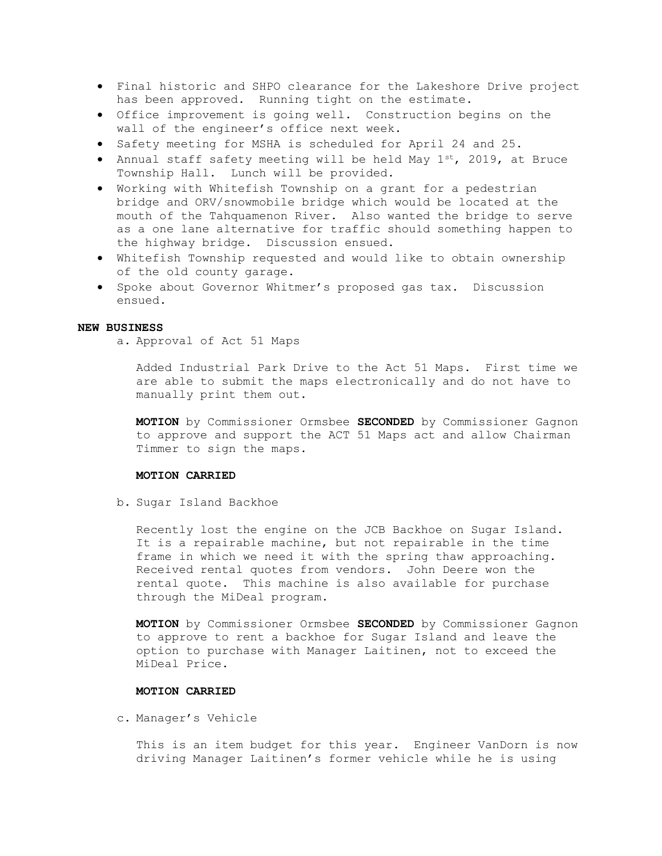- Final historic and SHPO clearance for the Lakeshore Drive project has been approved. Running tight on the estimate.
- Office improvement is going well. Construction begins on the wall of the engineer's office next week.
- Safety meeting for MSHA is scheduled for April 24 and 25.
- Annual staff safety meeting will be held May  $1^{st}$ , 2019, at Bruce Township Hall. Lunch will be provided.
- Working with Whitefish Township on a grant for a pedestrian bridge and ORV/snowmobile bridge which would be located at the mouth of the Tahquamenon River. Also wanted the bridge to serve as a one lane alternative for traffic should something happen to the highway bridge. Discussion ensued.
- Whitefish Township requested and would like to obtain ownership of the old county garage.
- Spoke about Governor Whitmer's proposed gas tax. Discussion ensued.

## NEW BUSINESS

a. Approval of Act 51 Maps

Added Industrial Park Drive to the Act 51 Maps. First time we are able to submit the maps electronically and do not have to manually print them out.

MOTION by Commissioner Ormsbee SECONDED by Commissioner Gagnon to approve and support the ACT 51 Maps act and allow Chairman Timmer to sign the maps.

## MOTION CARRIED

b. Sugar Island Backhoe

Recently lost the engine on the JCB Backhoe on Sugar Island. It is a repairable machine, but not repairable in the time frame in which we need it with the spring thaw approaching. Received rental quotes from vendors. John Deere won the rental quote. This machine is also available for purchase through the MiDeal program.

MOTION by Commissioner Ormsbee SECONDED by Commissioner Gagnon to approve to rent a backhoe for Sugar Island and leave the option to purchase with Manager Laitinen, not to exceed the MiDeal Price.

### MOTION CARRIED

c. Manager's Vehicle

This is an item budget for this year. Engineer VanDorn is now driving Manager Laitinen's former vehicle while he is using